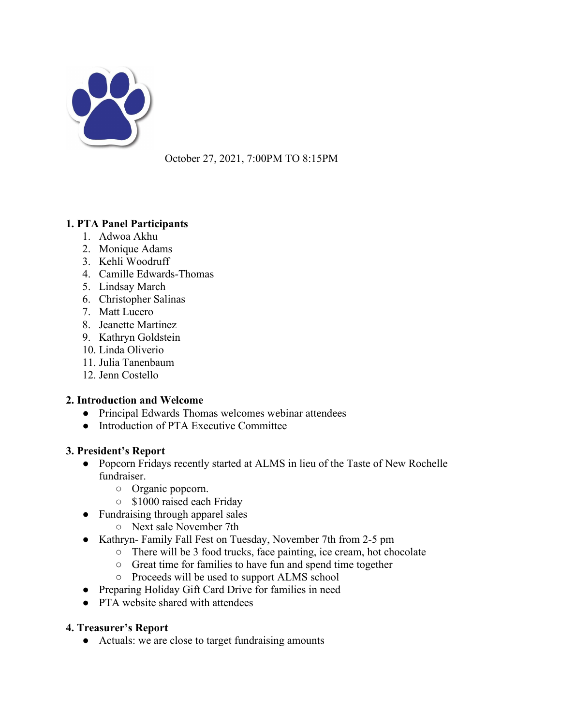

October 27, 2021, 7:00PM TO 8:15PM

# **1. PTA Panel Participants**

- 1. Adwoa Akhu
- 2. Monique Adams
- 3. Kehli Woodruff
- 4. Camille Edwards-Thomas
- 5. Lindsay March
- 6. Christopher Salinas
- 7. Matt Lucero
- 8. Jeanette Martinez
- 9. Kathryn Goldstein
- 10. Linda Oliverio
- 11. Julia Tanenbaum
- 12. Jenn Costello

## **2. Introduction and Welcome**

- Principal Edwards Thomas welcomes webinar attendees
- Introduction of PTA Executive Committee

#### **3. President's Report**

- Popcorn Fridays recently started at ALMS in lieu of the Taste of New Rochelle fundraiser.
	- Organic popcorn.
	- \$1000 raised each Friday
- Fundraising through apparel sales
	- Next sale November 7th
- Kathryn- Family Fall Fest on Tuesday, November 7th from 2-5 pm
	- There will be 3 food trucks, face painting, ice cream, hot chocolate
	- Great time for families to have fun and spend time together
	- Proceeds will be used to support ALMS school
- Preparing Holiday Gift Card Drive for families in need
- PTA website shared with attendees

## **4. Treasurer's Report**

● Actuals: we are close to target fundraising amounts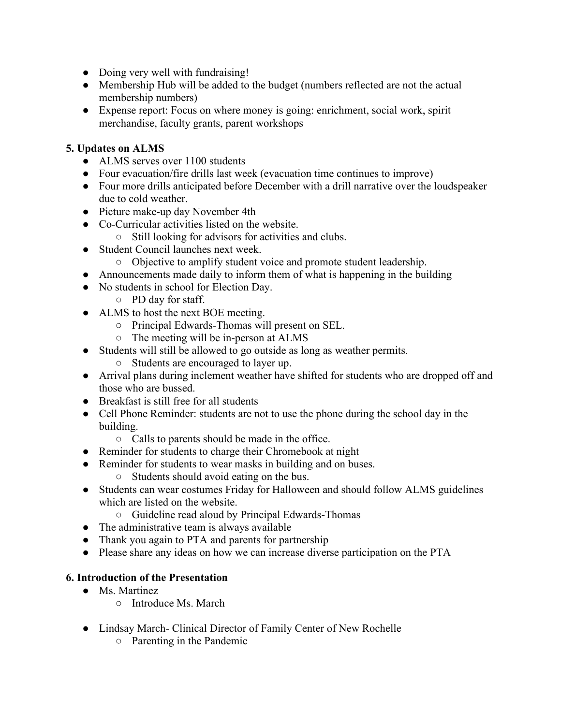- Doing very well with fundraising!
- Membership Hub will be added to the budget (numbers reflected are not the actual membership numbers)
- Expense report: Focus on where money is going: enrichment, social work, spirit merchandise, faculty grants, parent workshops

#### **5. Updates on ALMS**

- ALMS serves over 1100 students
- Four evacuation/fire drills last week (evacuation time continues to improve)
- Four more drills anticipated before December with a drill narrative over the loudspeaker due to cold weather.
- Picture make-up day November 4th
- Co-Curricular activities listed on the website.
	- Still looking for advisors for activities and clubs.
- Student Council launches next week.
	- Objective to amplify student voice and promote student leadership.
- Announcements made daily to inform them of what is happening in the building
- No students in school for Election Day.
	- PD day for staff.
- ALMS to host the next BOE meeting.
	- Principal Edwards-Thomas will present on SEL.
	- The meeting will be in-person at ALMS
- Students will still be allowed to go outside as long as weather permits.
	- Students are encouraged to layer up.
- Arrival plans during inclement weather have shifted for students who are dropped off and those who are bussed.
- Breakfast is still free for all students
- Cell Phone Reminder: students are not to use the phone during the school day in the building.
	- Calls to parents should be made in the office.
- Reminder for students to charge their Chromebook at night
- Reminder for students to wear masks in building and on buses.
	- Students should avoid eating on the bus.
- Students can wear costumes Friday for Halloween and should follow ALMS guidelines which are listed on the website.
	- Guideline read aloud by Principal Edwards-Thomas
- The administrative team is always available
- Thank you again to PTA and parents for partnership
- Please share any ideas on how we can increase diverse participation on the PTA

## **6. Introduction of the Presentation**

- Ms. Martinez
	- Introduce Ms. March
- Lindsay March- Clinical Director of Family Center of New Rochelle
	- Parenting in the Pandemic